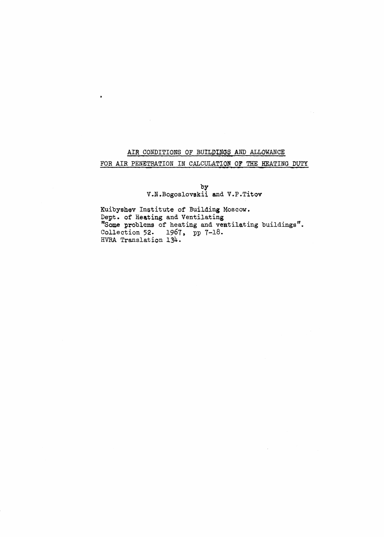# **AIR CONDITIONS OF BUILDINGS AND ALLOWANCE**  FOR AIR PENETRATION IN CALCULATION OF THE HEATING DUTY

 $\sim 1$ 

 $\bullet$ 

**by** V.N,Bogoslovskii and **V.P.Titov** 

Kuibyshev Institute of Building **Moscow.**  Dept , **of Heating** and Ventilating "Some problems of heating and ventilating buildings". Collection **52.** 1967, pp 7-18. **HVRA Translation** 134.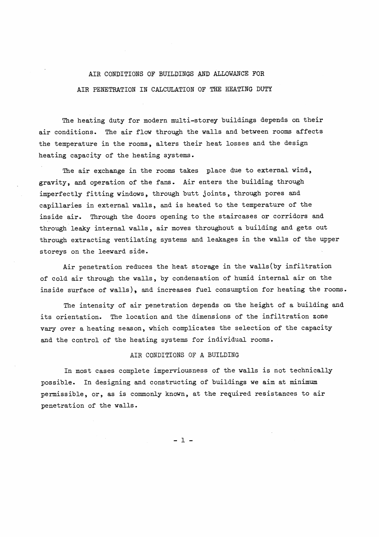### AIR CONDITIONS OF BUILDINGS AND ALLOWANCE FOR

#### AIR PENETRATION IN CALCULATION OF THE HEATING DUTY

The heating duty for modern multi-storey buildings depends on their air conditions. The air flow through the walls and between rooms affects the temperature in the rooms, alters their heat losses and the design heating capacity of the heating systems.

The air exchange in the rooms takes place due to external wind, gravity, and operation of the fans. Air enters the building through imperfectly fitting windows, through butt joints, through pores and capillaries in external walls, and is heated to the temperature of the inside air. Through the doors opening to the staircases or corridors and through leaky internal walls, air moves throughout a building and gets out through extracting ventilating systems and leakages in the walls of the upper storeys on the leeward side.

Air penetration reduces the heat storage in the walls(by infiltration of cold air through the walls, by condensation of humid internal air on the inside surface of walls), and increases fuel consumption for heating the rooms.

The intensity of air penetration depends on the height of a building and its orientation. The location and the dimensions of the infiltration zone vary over a heating season, which complicates the selection of the capacity and the control of the heating systems for individual rooms.

#### AIR CONDITIONS OF **A** BUILDING

In most cases complete imperviousness of the walls is not technically possible. In designing and constructing of buildings we aim at minimum permissible, or, as is commonly known, at the required resistances to air penetration of the walls.

 $-1$  -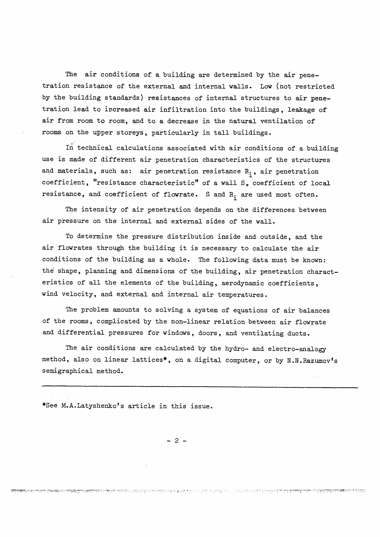The air conditions of a building are determined by the air penetration resistance of the external and internal walls. Low (not restricted by the building standards) resistances of internal structures to air penetration lead to increased air infiltration into the buildings, leakage of air from room to room, and to a decrease in the natural ventilation of rooms on the upper storeys, particularly in tall buildings.

1n technical calculations associated with air conditions of a building use is made of different air penetration characteristics of the structures and materials, such as: air penetration resistance R<sub>1</sub>, air penetration coefficient, "resistance characteristic" of a wall S, coefficient of local resistance, and coefficient of flowrate. S and R<sub>i</sub> are used most often.

The intensity of air penetration depends on the differences between air pressure on the internal and external sides of the wall.

To determine the pressure distribution inside and outside, and the air flowrates through the building it is necessary to calculate the air conditions of the building as a whole. The following data must be known: the shape, planning and dimensions of the building, air penetration characteristics of all the elements of the building, aerodynamic coefficients, wind velocity, and external and internal air temperatures.

The problem amounts to solving a system of equations of air balances of the rooms, complicated by the non-linear relation between air flowrate and differential pressures for windows, doors, and ventilating ducts.

The air conditions are calculated by the hydro- and electro-analogy method, also on linear lattices\*, on a digital computer, or by N.N.Razumov's semigraphical method.

\*See M.A.Latyshenko's article in this issue.

 $-2-$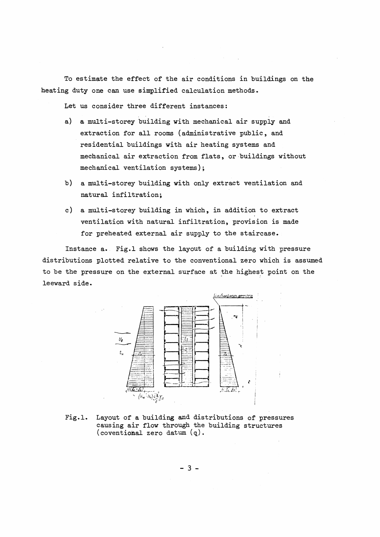To estimate the effect of the air conditions in buildings on the heating duty one can use simplified calculation methods.

Let us consider three different instances:

- a) a multi-storey building with mechanical air supply and extraction for all rooms (administrative public, and residential buildings with air heating systems and mechanical air extraction from flats, or buildings without mechanical ventilation systems ) ;
- b) a multi-storey building with only extract ventilation and natural infiltration;
- c) a multi-storey building in which, in addition to extract ventilation with natural infiltration, provision is made for preheated external air supply to the staircase.

Instance a. Fig.1 shows the layout of a building with pressure distributions plotted relative to the conventional zero which is assumed to be the pressure on the external surface at the highest point on the leeward side.



Fig.1. Layout of a building and distributions of pressures causing air flow through the building structures ( coventional zero datum ( **q)** .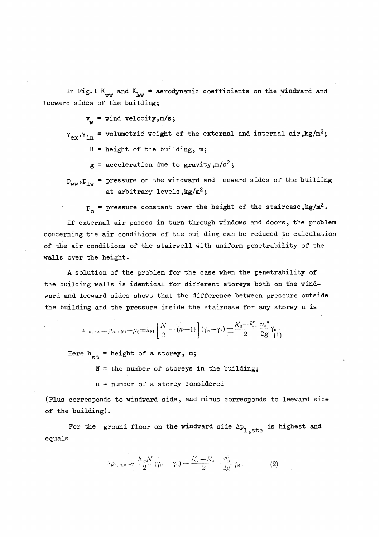In Fig.1  $K_{ww}$  and  $K_{hw}$  = aerodynamic coefficients on the windward and leeward sides of the building;

 $v_{xx}$  = wind velocity, m/s;

 $Y_{ex}$ , $Y_{in}$  = volumetric weight of the external and internal air, kg/m<sup>3</sup>;

 $H =$  height of the building, m;

 $g =$  acceleration due to gravity, m/s<sup>2</sup>;

 $P_{WW}$ ,  $P_{lw}$  = pressure on the windward and leeward sides of the building at arbitrary levels,  $kg/m^2$ ;

 $p_{o}$  = pressure constant over the height of the staircase, kg/m<sup>2</sup>.

If external air passes in turn through windows and doors, the problem concerning the air conditions of the building can be reduced to calculation of the air conditions of the stairwell with uniform penetrability of the walls over the height.

**A** solution of the problem for the case when the penetrability of the building walls is identical for different storeys both on the windward and leeward sides shows that the difference between pressure outside the building and the pressure inside the staircase for any storey n is

$$
\Delta_{\ell,n,\,n,\kappa} = p_{n,\,n(\mathbf{s})} - p_0 = h_{\mathbf{s}\mathbf{r}} \left[ \frac{N}{2} - (n-1) \right] (\gamma_{\mathbf{s}} - \gamma_{\mathbf{s}}) + \frac{K_{\mathbf{s}} - K_{\mathbf{s}}}{2} \frac{\sigma_{\mathbf{s}}^2}{2g} \gamma_{\mathbf{s}}.
$$

Here  $h_{e^+}$  = height of a storey, m;

**IY** = the number of storeys in the building;

n = number of a storey considered

(plus corresponds to windward side, and minus corresponds to leeward side of the building).

For the ground floor on the windward side  $\Delta p_{1,\text{stc}}$  is highest and equals

$$
\Delta p_{1,\text{a},\text{s}} \approx \frac{h_{\text{m}}N}{2}(\gamma_{\text{a}} - \gamma_{\text{b}}) + \frac{K_{\text{a}} - K_{\text{a}}}{2} \sqrt{\frac{v_{\text{b}}^2}{2g}} \gamma_{\text{a}}.
$$
 (2)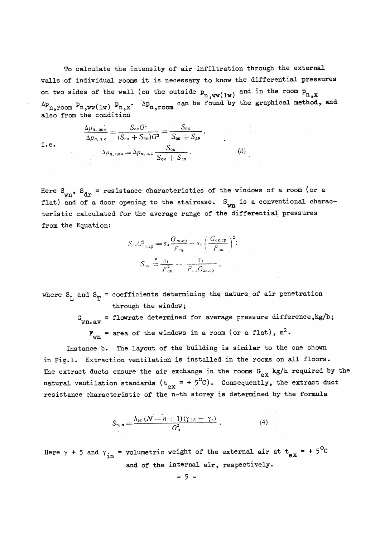To calculate the intensity of air infiltration through the external walls of individual rooms it is necessary to know the differential pressures on two sides of the wall (on the outside  $p_{n,ww(1w)}$  and in the room  $p_{n,x}$  $\Delta p_{n,room}$   $p_{n,ww(1w)}$   $p_{n,x}$ .  $\Delta p_{n,room}$  can be found by the graphical method, and also from the condition

i.e.

$$
\frac{\Delta p_{n,\text{nost}}}{\Delta p_{n,\text{a.K}}} = \frac{S_{\text{o.K}}G^2}{(S_{\text{o.K}} + S_{\text{aB}})G^2} = \frac{S_{\text{o.K}}}{S_{\text{o.K}} + S_{\text{aB}}},
$$
\n
$$
\Delta p_{n,\text{nost}} = \Delta p_{n,\text{a.K}} \frac{S_{\text{o.K}}}{S_{\text{o.K}} + S_{\text{aB}}}. \tag{3}
$$

Here  $S_{\rm wn}$ ,  $S_{\rm dr}$  = resistance characteristics of the windows of a room (or a flat) and of a door opening to the staircase. S<sub>wn</sub> is a conventional characteristic calculated for the average range of the differential pressures from the Equation:

$$
S_{\text{ox}}G_{\text{ox,cp}}^2 = s_{\text{a}} \frac{G_{\text{ox,cp}}}{F_{\text{ox}}} + s_{\text{r}} \left(\frac{G_{\text{ox,cp}}}{F_{\text{ox}}}\right)^2;
$$

$$
S_{\text{ox}} \stackrel{2}{=} \frac{s_{\text{r}}}{F_{\text{ox}}^2} + \frac{s_{\text{a}}}{F_{\text{ox}}G_{\text{ox,cp}}},
$$

where  $S_{T_1}$  and  $S_{T_2}$  = coefficients determining the nature of air penetration through the window;

> G<sub>wn.av</sub> = flowrate determined for average pressure difference,kg/h;  $F_{wn}$  = area of the windows in a room (or a flat),  $m^2$ .

Instance b. The layout of the building is similar to the one shown in Fig.1. Extraction ventilation is installed in the rooms on all floors. The extract ducts ensure the air exchange in the rooms  $G_{ex}$  kg/h required by the natural ventilation standards ( $t_{ex} = + 5^{\circ}c$ ). Consequently, the extract duct resistance characteristic of the n-th storey is determined by the formula

$$
S_{\mathbf{B},n} = \frac{h_{\mathbf{B} \mathbf{T}} \left(N - n + 1\right) \left(\gamma_{+5} - \gamma_{\mathbf{B}}\right)}{G_{\mathbf{B}}^2} \,. \tag{4}
$$

Here  $\gamma$  + 5 and  $\gamma_{\text{in}}$  = volumetric weight of the external air at  $t_{ex}$  = + 5°C and of the internal air, respectively.

 $-5-$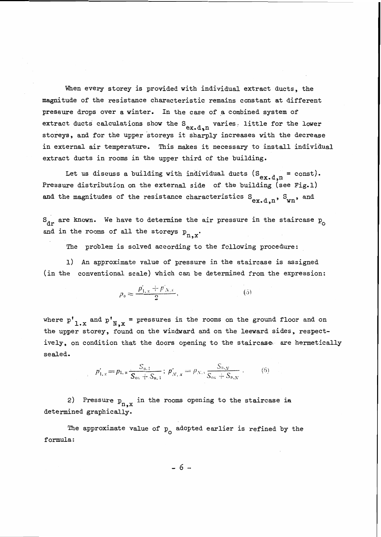When every storey is provided with individual extract ducts, the magnitude of the resistance characteristic remains constant at different pressure drops over a winter. In the case of a combined system of extract ducts calculations show the  $S_{ex.d,n}$  varies. little for the lower storeys, and for the upper storeys it sharply increases with the decrease in external air temperature. This makes it necessary to install individual extract ducts in rooms in the upper third of the building.

Let us discuss a building with individual ducts ( $S_{ex.d,n}$  = const). Pressure distribution on the external side of the building (see Fig. 1) and the magnitudes of the resistance characteristics  $S_{ex.d.n}$ ,  $S_{wn}$ , and

 $S_{\text{dr}}$  are known. We have to determine the air pressure in the staircase  $p_{\text{dr}}$ and in the rooms of all the storeys  $p_{n,x}$ .

The problem is solved according to the following procedure:

1) An approximate value of pressure in the staircase is assigned (in the conventional scale) which can be determined from the expression:

$$
p_{\mathfrak{0}} \approx \frac{p'_{1,x} + p'_{N,x}}{2},\tag{5}
$$

where  $p'_{1.x}$  and  $p'_{N,x}$  = pressures in the rooms on the ground floor and on the upper storey, found on the windward and on the leeward sides, respectively, on condition that the doors opening to the staircase are hermetically sealed.

$$
p'_{1,x} = p_{1,\mu} \frac{S_{\mu,1}}{S_{\text{ok}} + S_{\text{B},1}}; p'_{N,\mu} = p_{N,\mu} \frac{S_{\mu,N}}{S_{\text{ok}} + S_{\text{B},N}}.
$$
 (6)

2) Pressure  $p_{n,x}$  in the rooms opening to the staircase is determined graphically.

The approximate value of  $p_{\alpha}$  adopted earlier is refined by the formula :

 $-6-$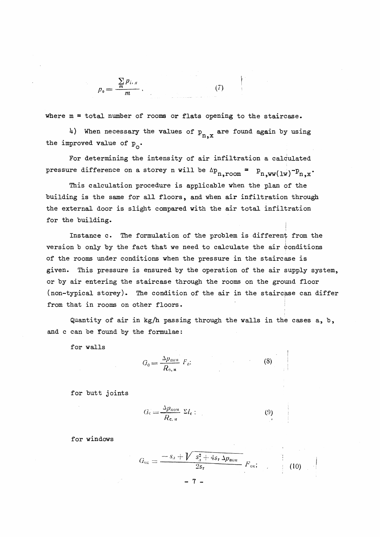$$
p_0=\frac{\sum\limits_{m}p_{i,\,x}}{m}\,,
$$

where  $m =$  total number of rooms or flats opening to the staircase.

 $(7)$ 

4) When necessary the values of  $p_{n,x}$  are found again by using the improved value of  $p_{\alpha}$ .

For determining the intensity of air infiltration a calculated pressure difference on a storey n will be  $\Delta p_{n,room} = p_{n,ww(1w)} - p_{n,x}$ .

This calculation procedure is applicable when the plan of the building is the same for all floors, and when air infiltration through the external door is slight compared with the air total infiltration for the building.

Instance c. The formulation of the problem is different from the version b only by the fact that we need to calculate the air conditions of the rooms under conditions when the pressure in the staircase is given. This pressure is ensured by the operation of the air supply system, or by air entering the staircase through the rooms on the gromd floor (non-typical storey). The condition of the air in the staircase can differ from that in rooms on other floors.

Quantity of air in kg/h passing through the walls in the cases a, b, and c can be found by the formulae:

 $\mathbf f$  or walls  $\mathbf f$ 

$$
G_0 = \frac{\Delta p_{\text{non}}}{R_{\text{o},n}} F_0; \tag{8}
$$

for butt joints

$$
G_{\rm c} = \frac{\Delta p_{\rm now}}{R_{\rm c, u}} \ \Sigma l_{\rm c} \ ; \tag{9}
$$

for windows

$$
G_{\text{ok}} = \frac{-s_{\text{a}} + \sqrt{s_{\text{a}}^2 + 4s_{\text{r}}\,\Delta p_{\text{noM}}}}{2s_{\text{r}}} F_{\text{ok}}; \tag{10}
$$

- 7 –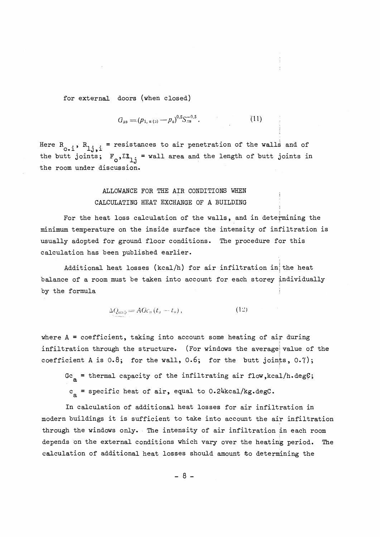for external doors (when closed)

$$
G_{\text{ab}} = (p_{1,\text{H (3)}} - p_0)^{0.5} S_{\text{AB}}^{-0.5}.
$$
 (11)

Here R<sub>0</sub>, i, R<sub>1</sub>j<sub>1</sub> = resistances to air penetration of the walls and of the butt joints;  $F_0, \Sigma I_{1}$  = wall area and the length of butt joints in the room under discussion.

## ALLOWANCE FOR THE AIR CONDITIONS WHEN CALCULATING HEAT EXCHANGE OF A BUILDING

For the heat loss calculation of the walls, and in determining the minimum temperature on the inside surface the intensity of infiltration is usually adopted for ground floor conditions. The procedure for this calculation has been published earlier.

Additional heat losses (kcal/h) for air infiltration in the heat balance of a room must be taken into account for each storey individually by the formula

 $\Delta Q_{\text{mab}} = AGc_{\text{B}}(t_{\text{a}} - t_{\text{n}}),$  (12)

where  $A = coefficient$ , taking into account some heating of air during infiltration through the structure. (For windows the average value of the coefficient A is  $0.8$ ; for the wall,  $0.6$ ; for the butt joints,  $0.7$ );

Gc<sub>a</sub> = thermal capacity of the infiltrating air flow, kcal/h.degC;  $c<sub>a</sub>$  = specific heat of air, equal to 0.24kcal/kg.degC.

In calculation of additional heat losses for air infiltration in modern buildings it is sufficient to take into account the air infiltration through the windows only. The intensity of air infiltration in each room depends on the external conditions which vary over the heating period, The calculation of additional heat losses should amount ko determining the

 $-8-$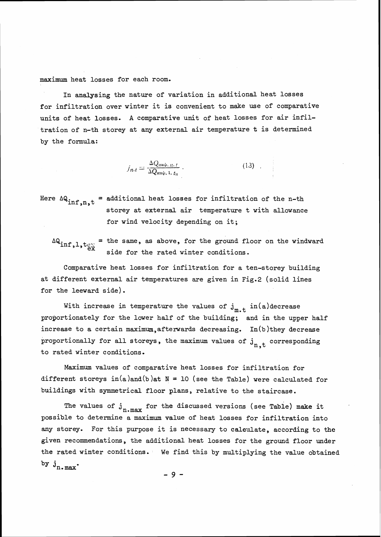maximum heat losses for each room.

In analysing the nature of variation in additional heat losses for infiltration over winter it is convenient to make use of comparative units of heat losses. **A** comparative unit of heat losses for air infiltration of n-th storey at any external air temperature t is determined by the formula:

$$
j_{n,t} = \frac{\Delta Q_{\text{HH}\phi, n,t}}{\Delta Q_{\text{HH}\phi, 1,t_{\text{H}}}} \,. \tag{13}
$$

Here  $\Delta Q_{\text{inf}, n, t}$  = additional heat losses for infiltration of the n-th storey at external air temperature t with allowance for wind velocity depending on it;

 $\Delta Q_{\text{inf}, 1, t_{\text{ext}}}$  = the same, as above, for the ground floor on the windward  $\frac{c}{dx}$  side for the rated winter conditions.

Comparative heat losses for infiltration for a ten-storey building at different external air temperatures are given in Fig.2 (solid lines for the leeward side) .

With increase in temperature the values of  $j_{m.t}$  in(a)decrease proportionately for the lower half of the building; and in the upper half increase to a certain maximum, afterwards decreasing. In(b)they decrease proportionally for all storeys, the maximum values of  $j_{n,t}$  corresponding to rated winter conditions.

Maximum values of comparative heat losses for infiltration for different storeys in(a)and(b)at  $N = 10$  (see the Table) were calculated for buildings with symmetrical floor plans, relative to the staircase.

The values of  $j_{n \text{ max}}$  for the discussed versions (see Table) make it possible to determine a maximum value of heat losses for infiltration into any storey. For this purpose it is necessary to calaulate, according to the given recommendations, the additional heat losses for the ground floor under the rated winter conditions. We find this by multiplying the value obtained by  $j_{n \texttt{.max}}$ .

 $-9-$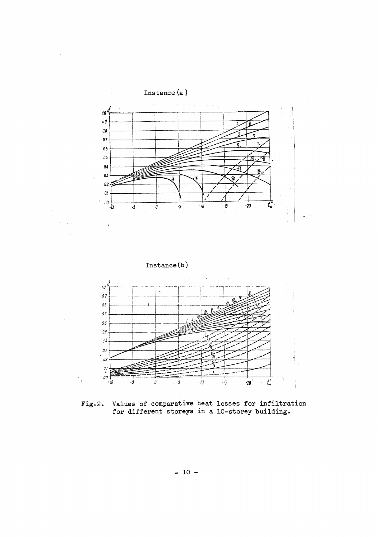

Fig.2. Values of comparative heat losses for infiltration for different storeys in a 10-storey building.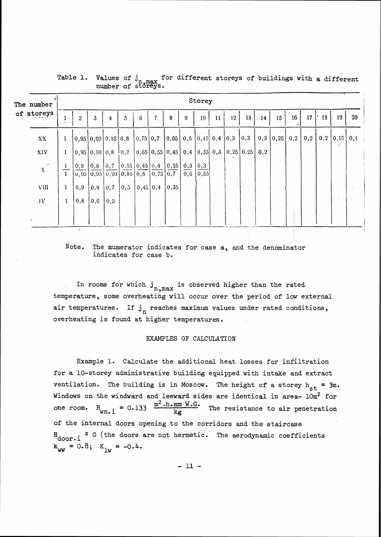| The number   |              | Storey                        |                   |           |                                                                                                                                                                                                                          |          |                |                                                                                               |                                    |      |               |    |                   |     |                   |     |                 |     |    |                                |
|--------------|--------------|-------------------------------|-------------------|-----------|--------------------------------------------------------------------------------------------------------------------------------------------------------------------------------------------------------------------------|----------|----------------|-----------------------------------------------------------------------------------------------|------------------------------------|------|---------------|----|-------------------|-----|-------------------|-----|-----------------|-----|----|--------------------------------|
| of storeys   |              | $\overline{2}$                | 3                 | 4         | 5                                                                                                                                                                                                                        | 6        | 7 <sub>1</sub> | 8                                                                                             | 9                                  | 10   | $\mathbf{11}$ | 12 | 13                | 14  | 15                | 16  | 17 <sup>1</sup> | 18  | 19 | 20                             |
| XX           | 1            | [0,95 0,90 0,85 0,8 0,75 0,7] |                   |           |                                                                                                                                                                                                                          |          |                | $\vert 0.65 \vert 0.5 \vert 0.45 \vert 0.4 \vert 0.3 \vert$                                   |                                    |      |               |    | $\vert 0,3 \vert$ |     | $[0,3 \mid 0,25]$ | 0,2 | 0,2             | 0,2 |    | $\vert 0, 15 \vert 0, 1 \vert$ |
| XIV          | $\mathbf{1}$ | [0,95]0,90]0,8                |                   |           | 10,7                                                                                                                                                                                                                     |          |                | $\vert 0.65 \vert 0.55 \vert 0.45 \vert 0.4 \vert 0.35 \vert 0.3 \vert 0.25 \vert 0.25 \vert$ |                                    |      |               |    |                   | 0.2 |                   |     |                 |     | A. |                                |
| $\mathbf{X}$ |              | 0,9                           | $\vert 0,8 \vert$ |           | $\begin{bmatrix} 0.7 & 0.55 & 0.45 & 0.4 & 0.35 \end{bmatrix}$<br>$\left  \overline{0,95} \right  \overline{0,95} \left  \overline{0,90} \right  \overline{0,85} \left  0,8 \right  \left  0,75 \right  \overline{0,75}$ |          |                |                                                                                               | $0,3 \mid 0,3$<br>$\overline{0,6}$ | 0,55 |               |    |                   |     |                   |     |                 |     |    |                                |
| VIII         |              | 0,9                           | $ 0,8\rangle$     | $0,7$ 0.5 |                                                                                                                                                                                                                          | 0,45 0,4 |                | 0,35                                                                                          |                                    |      |               |    |                   |     |                   |     |                 |     |    |                                |
| IV           | 1            | 0,8                           | $\overline{0,6}$  | 0,5       |                                                                                                                                                                                                                          |          |                |                                                                                               |                                    |      |               |    |                   |     |                   |     |                 |     |    |                                |
|              |              |                               |                   |           |                                                                                                                                                                                                                          |          |                |                                                                                               |                                    |      |               |    |                   |     |                   |     |                 |     |    |                                |

Table 1. Values of j<sub>n max</sub> for different storeys of buildings with a different number of storeys.

Note. The numerator indicates for case a, and the denominator indicates for case b.

In rooms for which  $j_{n,\text{max}}$  is observed higher than the rated temperature, some overheating will occur over the period of loy external air temperatures. If  $j_n$  reaches maximum values under rated conditions, overheating is found at higher temperatures.

#### EXAMPLES OF CALCULATTON

Example 1. Calculate the additional heat losses for infiltration for a 10-storey administrative building equipped with intake and extract ventilation. The building is in Moscow. The height of a storey  $h_{st} = 3m$ . Windows on the windward and leeward sides are identical in area-  $10m^2$  for one room.  $R_{\text{wn.i}} = 0.133 \frac{m^2 \cdot h \cdot \text{mm W.G.}}{\text{km}}$ The resistance to air penetration of the internal doors opening to the corridors and the staircase R<sub>door.i</sub><sup>z</sup> 0 (the doors are not hermetic. The aerodynamic coefficients  $k_{ww} = 0.8; K_{lw} = -0.4.$ 

 $-11 -$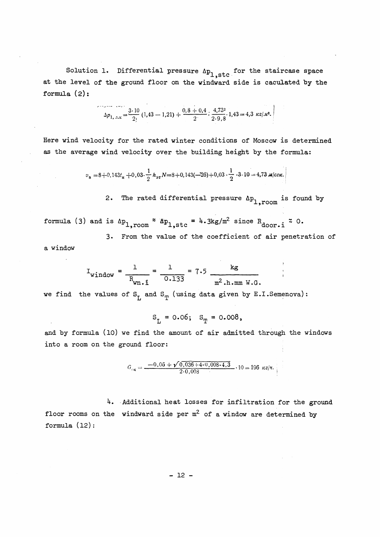Solution 1. Differential pressure  $\Delta p_{1, \text{stc}}$  for the staircase space at the level of the ground floor on the windward side is caculated by the formula  $(2)$ :

$$
\Delta p_{1, 3.5} = \frac{3 \cdot 10}{2!} (1, 43 - 1, 21) + \frac{0.8 + 0.4}{2} \cdot \frac{4, 73^2}{2 \cdot 9, 8} \cdot 1, 43 = 4, 3 \text{ kg/m}^2.
$$

Here wind velocity for the rated winter conditions of Moscow is determined as the average wind velocity over the building height by the formula:

$$
v_{\rm B} = 8 + 0.143t_{\rm B} + 0.03 \cdot \frac{1}{2} h_{\rm 9T} N = 8 + 0.143(-26) + 0.03 \cdot \frac{1}{2} \cdot 3 \cdot 10 = 4.73 \text{ m/ceV}.
$$

2. The rated differential pressure  $\Delta p_{1, r\text{oom}}$  is found by

formula (3) and is  $\Delta p_{1,1}$ room  $z \Delta p_{1,\text{stc}} = 4.3$ kg/m<sup>2</sup> since  $R_{\text{door-}i}$   $z$  0.

3. From the value of the coefficient of air penetration of a window

$$
I_{\text{window}} = \frac{1}{R_{\text{wn.}i}} = \frac{1}{0.133} = 7.5 \frac{\text{kg}}{\text{m}^2 \cdot \text{h} \cdot \text{mm W.G.}}
$$

we find the values of  $S_{T}$  and  $S_{T}$  (using data given by E.I.Semenova):

$$
S_{T_1} = 0.06
$$
;  $S_{T_1} = 0.008$ ,

and by formula (10) we find the amount of air admitted through the windows into a room on the ground floor:

$$
G_{\text{ok}} = \frac{-0.06 + \sqrt{0.036 + 4 \cdot 0.008 \cdot 4.3}}{2 \cdot 0.008} \cdot 10 = 196 \text{ kg/s}.
$$

4. Additional heat losses for infiltration for the ground floor rooms on the windward side per  $m^2$  of a window are determined by formula ( <sup>12</sup>) :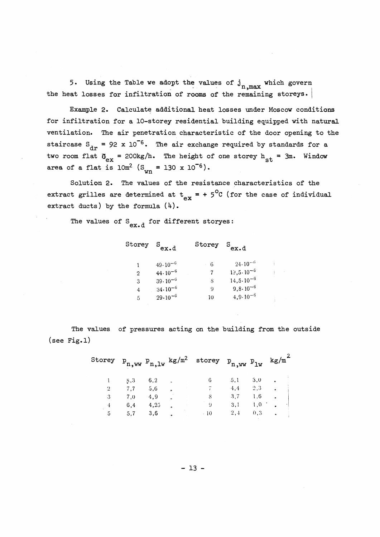5. Using the Table we adopt the values of  $j_{n,max}$  which govern the heat losses for infiltration of rooms of the remaining storeys.

Example 2. Calculate additional heat losses under Moscow conditions for infiltration for a 10-storey residential building equipped with natural ventilation. The air penetration characteristic of the door opening to the staircase  $S_{dr}$  = 92 x 10<sup>-6</sup>. The air exchange required by standards for a two room flat  $\mathfrak{G}_{\mathrm{ex}}$  = 200kg/h. The height of one storey h<sub>st</sub> = 3m. Window area of a flat is  $10m^2$  (S<sub>wn</sub> = 130 x 10<sup>-6</sup>).

Solution 2. The values of the resistance characteristics of the extract grilles are determined at  $t_{ex}$  = + 5<sup>o</sup>C (for the case of individual extract ducts) by the formula  $(4)$ .

The values of  $S_{\text{ex-d}}$  for different storyes:

Storey S<sub>ex.d</sub> Storey  $S_{ex.d}$  $-24.10^{-6}$  $49.10^{-6}$  $\pm 6$  $\mathbf{1}$  $19, 5 \cdot 10^{-6}$  $44 \cdot 10^{-6}$ 7 19,5.10<sup>-6</sup><br>8 14,5.10<sup>-6</sup><br>9 9,8.10<sup>-6</sup><br>10 4 9,10<sup>-6</sup>  $\overline{7}$  $\overline{2}$  $39 \cdot 10^{-6}$  $3<sup>1</sup>$  $34 \cdot 10^{-6}$  $\overline{4}$  $\sim$  10  $4.9 \cdot 10^{-6}$  $29 \cdot 10^{-6}$  $\overline{5}$ 

The values of pressures acting on the building from the outside  $(see Fig.1)$ 

| Storey |     |      | $P_{n,ww} P_{n,lw}$ kg/m <sup>2</sup> | storey $p_{n,ww}$ $p_{lw}$ |     |     | kg/m           |  |
|--------|-----|------|---------------------------------------|----------------------------|-----|-----|----------------|--|
|        | 8,3 | 6,2  | $\mathbf{H}$                          |                            | 5.1 | 3,0 | n              |  |
| 2      | 7.7 | 5,6  | $\mathbf{r}$                          |                            | 4,4 | 2,3 | $\blacksquare$ |  |
| 3      | 7,0 | 4.9  | $\mathbf{v}$                          | S                          | 3.7 | 1,6 | n              |  |
|        | 6.4 | 4,25 | $\mathbf{r}$                          |                            | 3.1 | 1,0 | $\bullet$      |  |
| 5      | 5,7 | 3,6  | n                                     | $-10$                      | 2,4 | 0,3 | n              |  |
|        |     |      |                                       |                            |     |     |                |  |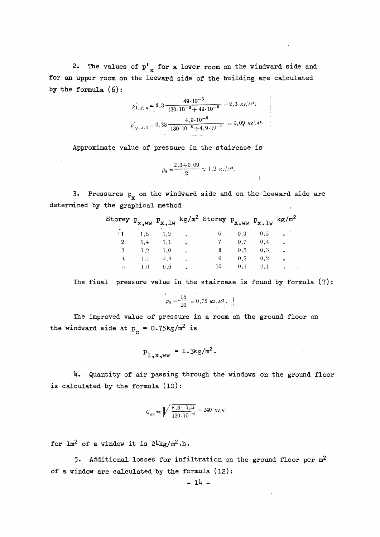2. The values of  $p^{\dagger}_{x}$  for a lower room on the windward side and for an upper room on the leeward side of the building are calculated by the formula (6):

$$
p'_{1, x, u} = 8.3 \frac{49.10^{-6}}{130.10^{-6} + 49.10^{-6}} = 2.3 \text{ kg/m}^2;
$$
  

$$
p'_{N, x, 3} = 0.33 \frac{4.9.10^{-6}}{130.10^{-6} + 4.9.10^{-6}} = 0.09 \text{ kg/m}^2
$$

Approximate value of pressure in the staircase is

$$
p_{\rm o} = \frac{2.3 + 0.09}{2} \approx 1.2 \ \kappa z / \pi^2.
$$

 $\mathbf{J}$ 

3. Pressures  $p_x$  on the windward side and on the leeward side are determined by the graphical method

|                |                  |                      |                      | Storey $p_{x,ww}$ $p_{x,lw}$ kg/m <sup>2</sup> Storey $p_{x,ww}$ $p_{x,lw}$ kg/m <sup>2</sup> |     |               |                  |
|----------------|------------------|----------------------|----------------------|-----------------------------------------------------------------------------------------------|-----|---------------|------------------|
| $^{\star}$ 1   | 1,5 1,2          |                      | $\sim$ $\sim$ $\sim$ |                                                                                               |     | 6 $0,9$ $0,5$ |                  |
| $\overline{2}$ |                  | $1,4$ $1,1$ $\ldots$ |                      |                                                                                               |     | $0.7 \t 0.4$  | $\overline{r}$   |
|                | $\therefore$ 1.2 | 1,0                  |                      |                                                                                               | 0,5 | 0,3           | $\overline{u}$   |
|                | $4 \t1.1$        | 0, 8                 | $\overline{u}$       | 9                                                                                             | 0.2 | 0.2           | $\mathbf{r}$     |
| 5.             | 1.0              | 0,6                  |                      | 10                                                                                            | 0,1 | 0.1           | $\boldsymbol{r}$ |

The final pressure value in the staircase is found by formula (7):

 $p_0 = \frac{15}{20} = 0{,}75 \text{ kg}$ .

The improved value of pressure in a room on the ground floor on the windward side at  $p_o = 0.75 \text{kg/m}^2$  is

$$
p_{1 \text{,X-WW}} = 1.3 \text{kg/m}^2.
$$

4. Quantity of air passing through the windows on the ground floor is calculated by the formula (10) :

$$
G_{\text{OK}} = \sqrt{\frac{8,3-1,3}{130 \cdot 10^{-6}}} = 240 \text{ kg/s}.
$$

for  $lm^2$  of a window it is  $24kg/m^2.h$ .

**5.** Additional losses for infiltration on the ground floor per m2 of a window are calculated by the formula (12) :

$$
= 14 -
$$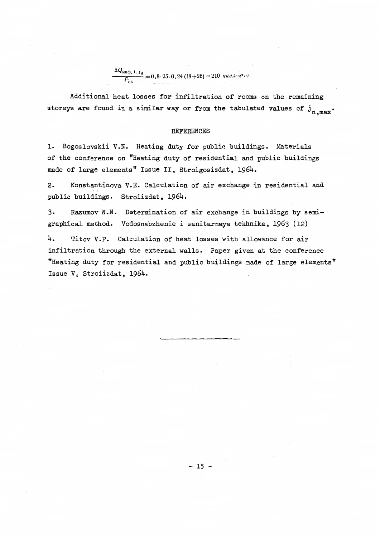$\frac{\Delta Q_{\text{HH}\Phi, 1. t_{\text{H}}}}{F_{\text{ok}}} = 0.8.25 \cdot 0.24 (18+26) = 210 \text{ kK a}.i^{(3/2) \cdot y}.$ 

Additional heat losses for infiltration of rooms on the remaining storeys are found in a similar way or from the tabulated values of  $j_{n,max}$ .

#### REFERENCES

1. Bogoslovskii V.N. Heating duty for public buildings. Materials of the conference on "Heating duty of residential and public buildings made of large elements" Issue II, Stroigosizdat, 1964.

2. Konstantinova V.E. Calculation of air exchange in residential and public buildings. Stroiizdat, 1964.

**3.** Razumov N.N. Determination of air exchange in buildings by semigraphical method. Vodosnabzhenie i sanitarnaya tekhnika, 1963 (12)

4. Titov V.P. Calculation of heat losses with allowance for air infiltration through the external walls. Paper given at the conference "Heating duty for residential and public buildings made of large elements" Issue **V,** Stroiizdat, 1964.